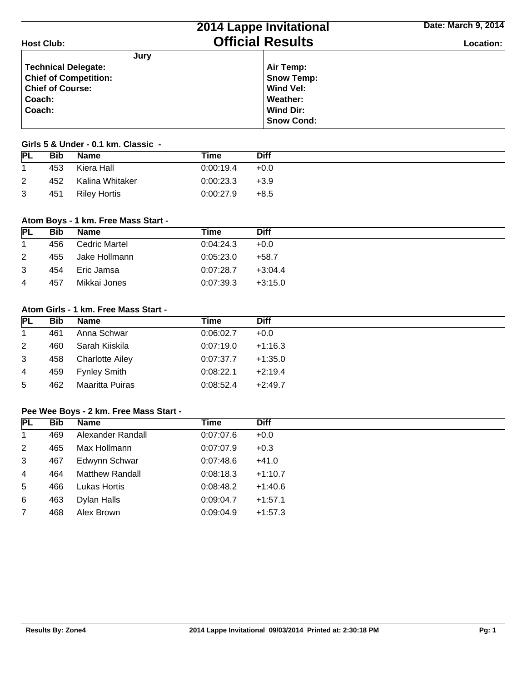|                              | 2014 Lappe Invitational | Date: March 9, 2014 |
|------------------------------|-------------------------|---------------------|
| <b>Host Club:</b>            | <b>Official Results</b> | Location:           |
| Jury                         |                         |                     |
| <b>Technical Delegate:</b>   | Air Temp:               |                     |
| <b>Chief of Competition:</b> | <b>Snow Temp:</b>       |                     |
| <b>Chief of Course:</b>      | Wind Vel:               |                     |
| Coach:                       | Weather:                |                     |
| Coach:                       | Wind Dir:               |                     |
|                              | <b>Snow Cond:</b>       |                     |

### **Girls 5 & Under - 0.1 km. Classic -**

| <b>PL</b> | <b>Bib</b> | Name                | Time      | Diff   |
|-----------|------------|---------------------|-----------|--------|
|           | 453        | Kiera Hall          | 0:00:19.4 | $+0.0$ |
| 2         | 452        | Kalina Whitaker     | 0:00:23.3 | $+3.9$ |
| 3         | 451        | <b>Riley Hortis</b> | 0:00:27.9 | $+8.5$ |

### **Atom Boys - 1 km. Free Mass Start -**

| <b>PL</b>   | Bib | <b>Name</b>   | Time      | <b>Diff</b> |
|-------------|-----|---------------|-----------|-------------|
| $\mathbf 1$ | 456 | Cedric Martel | 0:04:24.3 | $+0.0$      |
| 2           | 455 | Jake Hollmann | 0:05:23.0 | $+58.7$     |
| 3           | 454 | Eric Jamsa    | 0:07:28.7 | $+3:04.4$   |
| 4           | 457 | Mikkai Jones  | 0:07:39.3 | $+3:15.0$   |

## **Atom Girls - 1 km. Free Mass Start -**

| PL             | <b>Bib</b> | <b>Name</b>            | Time      | <b>Diff</b> |
|----------------|------------|------------------------|-----------|-------------|
| $\mathbf{1}$   | 461        | Anna Schwar            | 0:06:02.7 | $+0.0$      |
| $\overline{2}$ | 460        | Sarah Kiiskila         | 0.07:19.0 | $+1:16.3$   |
| 3              | 458        | <b>Charlotte Ailey</b> | 0:07:37.7 | $+1:35.0$   |
| 4              | 459        | Fynley Smith           | 0:08:22.1 | $+2:19.4$   |
| 5              | 462        | Maaritta Puiras        | 0:08:52.4 | $+2:49.7$   |

#### **Pee Wee Boys - 2 km. Free Mass Start -**

| <b>PL</b>      | <b>Bib</b> | <b>Name</b>            | Time      | <b>Diff</b> |
|----------------|------------|------------------------|-----------|-------------|
| 1              | 469        | Alexander Randall      | 0.07:07.6 | $+0.0$      |
| $\overline{2}$ | 465        | Max Hollmann           | 0:07:07.9 | $+0.3$      |
| 3              | 467        | Edwynn Schwar          | 0.07:48.6 | $+41.0$     |
| $\overline{4}$ | 464        | <b>Matthew Randall</b> | 0:08:18.3 | $+1:10.7$   |
| 5              | 466        | <b>Lukas Hortis</b>    | 0:08:48.2 | $+1:40.6$   |
| 6              | 463        | Dylan Halls            | 0:09:04.7 | $+1:57.1$   |
| $\overline{7}$ | 468        | Alex Brown             | 0:09:04.9 | $+1:57.3$   |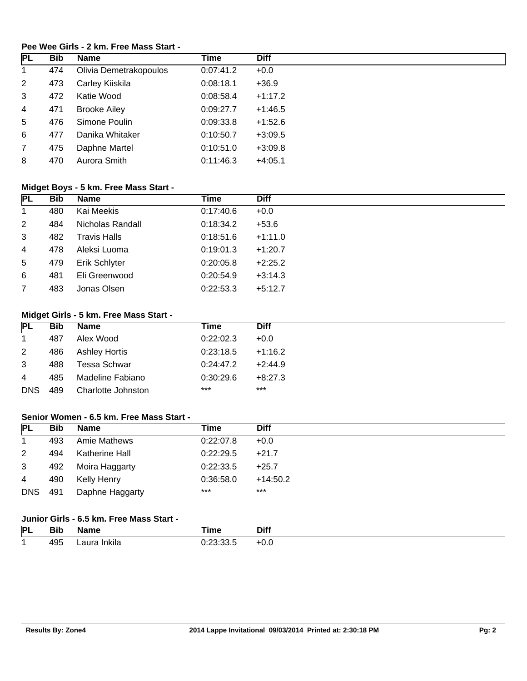## **Pee Wee Girls - 2 km. Free Mass Start -**

| <b>PL</b>      | <b>Bib</b> | <b>Name</b>            | <b>Time</b> | <b>Diff</b> |
|----------------|------------|------------------------|-------------|-------------|
| $\mathbf{1}$   | 474        | Olivia Demetrakopoulos | 0:07:41.2   | $+0.0$      |
| $\overline{2}$ | 473        | Carley Kiiskila        | 0:08:18.1   | $+36.9$     |
| 3              | 472        | Katie Wood             | 0:08:58.4   | $+1:17.2$   |
| 4              | 471        | <b>Brooke Ailey</b>    | 0:09:27.7   | $+1:46.5$   |
| 5              | 476        | Simone Poulin          | 0:09:33.8   | $+1:52.6$   |
| 6              | 477        | Danika Whitaker        | 0:10:50.7   | $+3:09.5$   |
| $\overline{7}$ | 475        | Daphne Martel          | 0:10:51.0   | $+3:09.8$   |
| 8              | 470        | Aurora Smith           | 0:11:46.3   | $+4:05.1$   |

## **Midget Boys - 5 km. Free Mass Start -**

| <b>PL</b>      | <b>Bib</b> | <b>Name</b>         | Time      | <b>Diff</b> |
|----------------|------------|---------------------|-----------|-------------|
| $\mathbf{1}$   | 480        | Kai Meekis          | 0:17:40.6 | $+0.0$      |
| $\overline{2}$ | 484        | Nicholas Randall    | 0:18:34.2 | $+53.6$     |
| 3              | 482        | <b>Travis Halls</b> | 0:18:51.6 | $+1:11.0$   |
| $\overline{4}$ | 478        | Aleksi Luoma        | 0:19:01.3 | $+1:20.7$   |
| $5^{\circ}$    | 479        | Erik Schlyter       | 0:20:05.8 | $+2:25.2$   |
| 6              | 481        | Eli Greenwood       | 0:20:54.9 | $+3:14.3$   |
| $\overline{7}$ | 483        | Jonas Olsen         | 0:22:53.3 | $+5:12.7$   |

# **Midget Girls - 5 km. Free Mass Start -**

| <b>PL</b>    | <b>Bib</b> | <b>Name</b>        | Time      | <b>Diff</b> |
|--------------|------------|--------------------|-----------|-------------|
| $\mathbf{1}$ | 487        | Alex Wood          | 0.22:02.3 | $+0.0$      |
| $\mathbf{2}$ | 486        | Ashley Hortis      | 0:23:18.5 | $+1:16.2$   |
| 3            | 488        | Tessa Schwar       | 0:24:47.2 | $+2:44.9$   |
| 4            | 485        | Madeline Fabiano   | 0:30:29.6 | $+8:27.3$   |
| <b>DNS</b>   | 489        | Charlotte Johnston | $***$     | $***$       |

## **Senior Women - 6.5 km. Free Mass Start -**

| <b>PL</b>      | Bib | <b>Name</b>     | Time      | <b>Diff</b> |
|----------------|-----|-----------------|-----------|-------------|
| $\mathbf 1$    | 493 | Amie Mathews    | 0:22:07.8 | $+0.0$      |
| $\overline{2}$ | 494 | Katherine Hall  | 0:22:29.5 | $+21.7$     |
| 3              | 492 | Moira Haggarty  | 0:22:33.5 | $+25.7$     |
| 4              | 490 | Kelly Henry     | 0:36:58.0 | $+14:50.2$  |
| <b>DNS</b>     | 491 | Daphne Haggarty | $***$     | $***$       |

## **Junior Girls - 6.5 km. Free Mass Start -**

| PL | <b>Bib</b> | Name               | i wa s<br>ше                              | <b>Diff</b> |
|----|------------|--------------------|-------------------------------------------|-------------|
|    | 495        | . .<br>Inkila<br>. | $\sim$ 1.00 $\sim$<br>ית ה<br><u>ບບ.ເ</u> | +v.v        |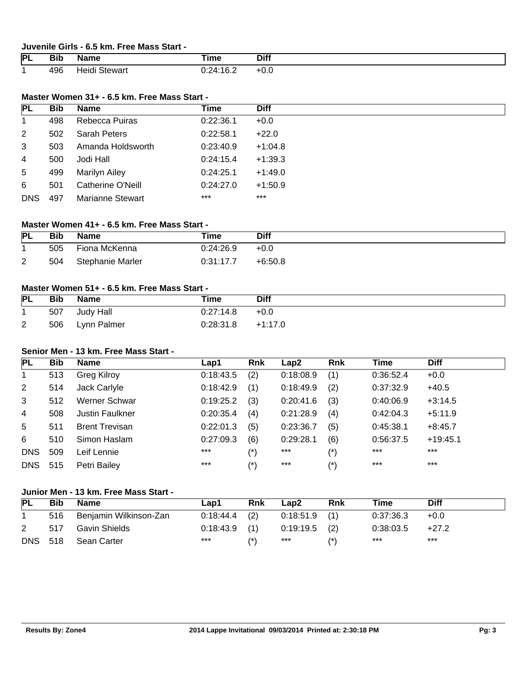#### **Juvenile Girls - 6.5 km. Free Mass Start -**

| PL | --<br><b>DIN</b><br>$\sim$ | lame            | ïme                            | <b>Diff</b> |
|----|----------------------------|-----------------|--------------------------------|-------------|
|    | 496                        | stewar<br>ומוסד | 0.21.16<br>. J.Z<br><br>______ | +v.v        |

### **Master Women 31+ - 6.5 km. Free Mass Start -**

| PL           | <b>Bib</b> | Name                  | Time      | <b>Diff</b> |
|--------------|------------|-----------------------|-----------|-------------|
| $\mathbf{1}$ | 498        | <b>Rebecca Puiras</b> | 0:22:36.1 | $+0.0$      |
| 2            | 502        | <b>Sarah Peters</b>   | 0:22:58.1 | $+22.0$     |
| 3            | 503        | Amanda Holdsworth     | 0:23:40.9 | $+1:04.8$   |
| 4            | 500        | Jodi Hall             | 0:24:15.4 | $+1:39.3$   |
| 5            | 499        | <b>Marilyn Ailey</b>  | 0:24:25.1 | $+1:49.0$   |
| 6            | 501        | Catherine O'Neill     | 0:24:27.0 | $+1:50.9$   |
| <b>DNS</b>   | 497        | Marianne Stewart      | $***$     | $***$       |

## **Master Women 41+ - 6.5 km. Free Mass Start -**

| <b>PL</b> | <b>Bib</b> | <b>Name</b>      | Time      | Diff      |
|-----------|------------|------------------|-----------|-----------|
|           | 505        | Fiona McKenna    | 0:24:26.9 | $+0.0$    |
| 2         | 504        | Stephanie Marler | 0:31:17.7 | $+6:50.8$ |

## **Master Women 51+ - 6.5 km. Free Mass Start -**

| <b>PL</b> | Bib | <b>Name</b> | Time      | <b>Diff</b> |
|-----------|-----|-------------|-----------|-------------|
|           | 507 | Judy Hall   | 0.27:14.8 | $+0.0$      |
| 2         | 506 | Lynn Palmer | 0:28:31.8 | $+1:17.0$   |

## **Senior Men - 13 km. Free Mass Start -**

| <b>PL</b>  | <b>Bib</b> | <b>Name</b>            | Lap1      | <b>Rnk</b>       | Lap2      | <b>Rnk</b>        | Time      | <b>Diff</b> |
|------------|------------|------------------------|-----------|------------------|-----------|-------------------|-----------|-------------|
|            | 513        | <b>Greg Kilroy</b>     | 0:18:43.5 | (2)              | 0:18:08.9 | (1)               | 0:36:52.4 | $+0.0$      |
| 2          | 514        | Jack Carlyle           | 0:18:42.9 | (1)              | 0:18:49.9 | (2)               | 0:37:32.9 | $+40.5$     |
| 3          | 512        | Werner Schwar          | 0:19:25.2 | (3)              | 0:20:41.6 | (3)               | 0:40:06.9 | $+3:14.5$   |
| 4          | 508        | <b>Justin Faulkner</b> | 0:20:35.4 | (4)              | 0:21:28.9 | (4)               | 0:42:04.3 | $+5:11.9$   |
| 5          | 511        | <b>Brent Trevisan</b>  | 0:22:01.3 | (5)              | 0:23:36.7 | (5)               | 0:45:38.1 | $+8:45.7$   |
| 6          | 510        | Simon Haslam           | 0:27:09.3 | (6)              | 0:29:28.1 | (6)               | 0:56:37.5 | $+19:45.1$  |
| <b>DNS</b> | 509        | Leif Lennie            | $***$     | $(*)$            | $***$     | $(\hbox{}^\star)$ | $***$     | $***$       |
| <b>DNS</b> | 515        | Petri Bailey           | $***$     | $^{\prime\star}$ | $***$     | (*)               | $***$     | $***$       |

### **Junior Men - 13 km. Free Mass Start -**

| <b>PL</b>      | <b>Bib</b> | <b>Name</b>            | Lap1            | <b>Rnk</b>      | Lap2            | <b>Rnk</b> | Time      | <b>Diff</b> |
|----------------|------------|------------------------|-----------------|-----------------|-----------------|------------|-----------|-------------|
|                | 516        | Benjamin Wilkinson-Zan | $0:18:44.4$ (2) |                 | $0:18:51.9$ (1) |            | 0:37:36.3 | $+0.0$      |
|                | 517        | Gavin Shields          | $0:18:43.9$ (1) |                 | $0:19:19.5$ (2) |            | 0:38:03.5 | $+27.2$     |
| <b>DNS 518</b> |            | Sean Carter            | ***             | $^{\prime\ast}$ | ***             |            | ***       | ***         |